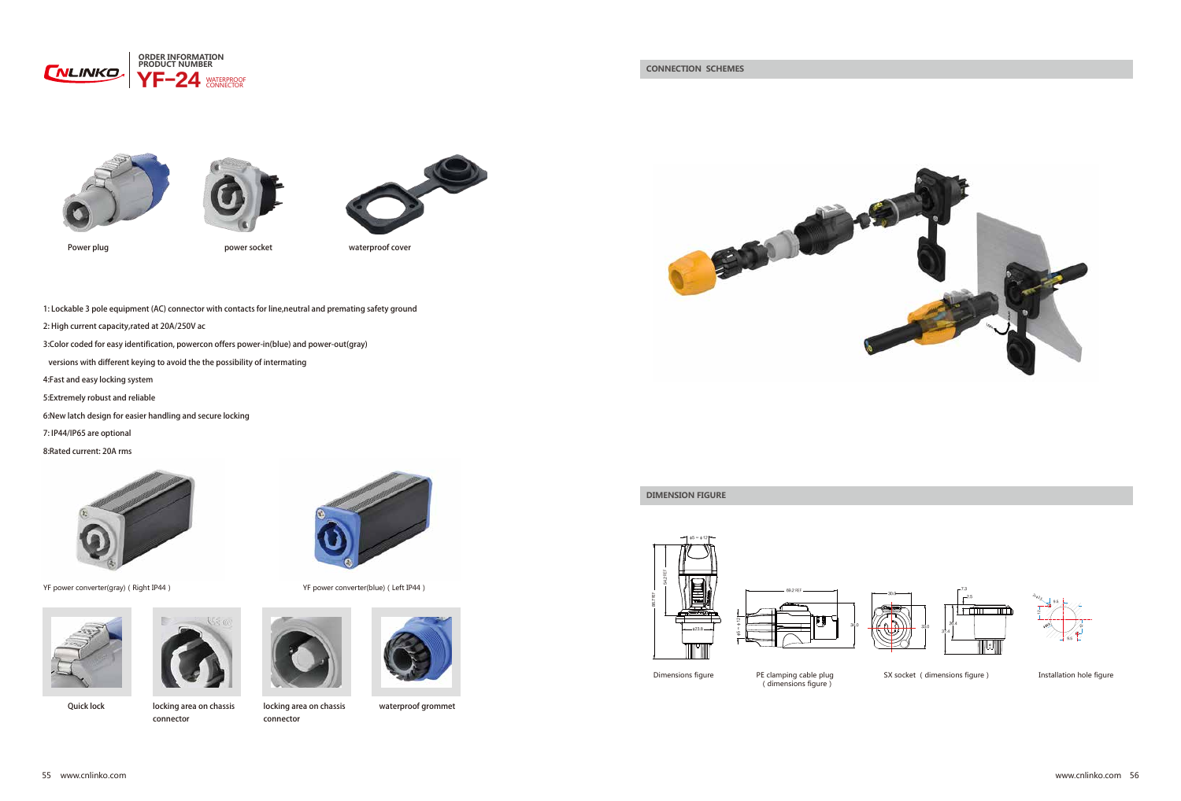

Quick lock locking area on chassis connector





locking area on chassis



SX socket (dimensions figure) Installation hole figure

connector



waterproof grommet





φ∞φ 5 12



Dimensions figure PE clamping cable plug (dimensions figure)

**DIMENSION FIGURE**



## **CONNECTION SCHEMES**





Power plug power socket waterproof cover



1: Lockable 3 pole equipment (AC) connector with contacts for line,neutral and premating safety ground

- 2: High current capacity,rated at 20A/250V ac
- 3:Color coded for easy identification, powercon offers power-in(blue) and power-out(gray)
- versions with different keying to avoid the the possibility of intermating
- 4:Fast and easy locking system
- 5:Extremely robust and reliable
- 6:New latch design for easier handling and secure locking
- 7: IP44/IP65 are optional
- 8:Rated current: 20A rms



YF power converter(gray) (Right IP44) YF power converter(blue) (Left IP44)